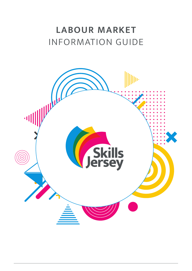# INFORMATION GUIDE **LABOUR MARKET**

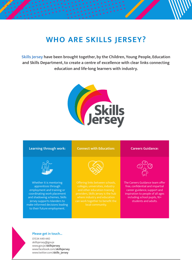# **WHO ARE SKILLS JERSEY?**

**Skills Jersey have been brought together, by the Children, Young People, Education and Skills Department, to create a centre of excellence with clear links connecting education and life-long learners with industry.** 







#### **Please get in touch...**

01534 449 440 [skillsjersey@gov.je](mailto:skillsjersey%40gov.je?subject=) [www.gov.je/](http://www.gov.je/skillsjersey)**skillsjersey** [www.facebook.com/](http://www.facebook.com/skillsjersey)**skillsjersey** [www.twitter.com/](http://www.twitter.com/skills_jersey)**skills\_jersey**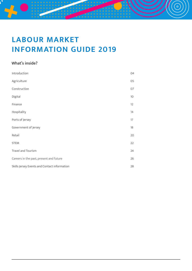# **LABOUR MARKET INFORMATION GUIDE 2019**

 $\overline{\phantom{a}}$ 

**: . . . . . . . .** .

<u>ි</u>

# **What's inside?**

| Introduction                                 | 04 |
|----------------------------------------------|----|
| Agriculture                                  | 05 |
| Construction                                 | 07 |
| Digital                                      | 10 |
| Finance                                      | 12 |
| Hospitality                                  | 14 |
| Ports of Jersey                              | 17 |
| Government of Jersey                         | 18 |
| Retail                                       | 20 |
| <b>STEM</b>                                  | 22 |
| Travel and Tourism                           | 24 |
| Careers in the past, present and future      | 26 |
| Skills Jersey Events and Contact information | 28 |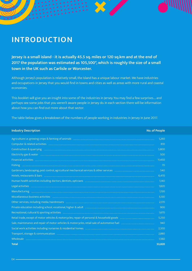# **INTRODUCTION**

**Jersey is a small island - it is actually 45.5 sq. miles or 120 sq.km and at the end of 2017 the population was estimated as 105,500\*, which is roughly the size of a small town in the UK such as Carlisle or Worcester.**

Although Jersey's population is relatively small, the Island has a unique labour market. We have industries and occupations in Jersey that you would find in towns and cities as well as areas with more rural and coastal economies.

This booklet will give you an insight into some of the industries in Jersey. You may find a few surprises…. and perhaps see some jobs that you weren't aware people in Jersey do. In each section there will be information about how you can find out more about that sector.

The table below gives a breakdown of the numbers of people working in industries in Jersey in June 2017.

| <b>Industry Description</b><br><b>No. of People</b>                                                                                                                                                                            |        |
|--------------------------------------------------------------------------------------------------------------------------------------------------------------------------------------------------------------------------------|--------|
|                                                                                                                                                                                                                                | 1,260  |
|                                                                                                                                                                                                                                | 810    |
| Construction & quarrying manufactured construction and construction and construction and quarrying manufactured                                                                                                                | 5,800  |
| Electricity gas & water manufacture manufacture manufacture manufacture manufacture manufacture manufacture ma                                                                                                                 | 500    |
|                                                                                                                                                                                                                                | 11,450 |
|                                                                                                                                                                                                                                | 70     |
|                                                                                                                                                                                                                                | 540    |
| Hotels, restaurants & bars manufactured and an experimental content and participate and the set of the set of the set of the set of the set of the set of the set of the set of the set of the set of the set of the set of th | 6,470  |
|                                                                                                                                                                                                                                | 1,140  |
|                                                                                                                                                                                                                                | 1,820  |
|                                                                                                                                                                                                                                | 1,130  |
|                                                                                                                                                                                                                                | 5,130  |
|                                                                                                                                                                                                                                | 2,170  |
| Private education including school, vocational, higher & adult minimum minimum minimum minimum minimum minimum                                                                                                                 | 900    |
|                                                                                                                                                                                                                                | 1,670  |
|                                                                                                                                                                                                                                | 5,250  |
|                                                                                                                                                                                                                                | 940    |
|                                                                                                                                                                                                                                | 2,350  |
|                                                                                                                                                                                                                                | 2,880  |
|                                                                                                                                                                                                                                | 1.560  |
| <b>Total</b>                                                                                                                                                                                                                   | 53,820 |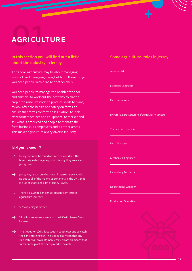# **AGRICUI AGRICULTURE**

# **In this section you will find out a little about the industry in Jersey.**

 $\overline{\phantom{0}}$ 

At its core, agriculture may be about managing livestock and managing crops, but to do these things you need people with a range of other skills.

You need people to manage the health of the soil and animals; to work out the best way to plant a crop or to raise livestock; to produce seeds to plant; to look after the health and safety on farms; to ensure that farms conform to legislation; to look after farm machines and equipment; to market and sell what is produced and people to manage the farm business, its employees and its other assets. This makes agriculture a very diverse industry.

#### **Did you know...?**

- Jersey cows can be found all over the world but the breed originated in Jersey, which is why they are called Jersey cows.
- $\rightarrow$  Jersey Royals can only be grown in Jersey. Jersey Royals go out to all of the major supermarkets in the UK … that is a lot of shops and a lot of Jersey Royals.
- $\rightarrow$  There is a £50 million annual output from Jersey's agriculture industry.
- 50% of Jersey is farmed.
- $\rightarrow$  24 million cones were served in the UK with Jersey Dairy ice cream.
- The slopes (or côtils) face south / south east and so catch → the early morning sun. The slopes also mean that any rain water will drain off more easily. All of this means that farmers can plant their crops earlier on côtils.

### **Some agricultural roles in Jersey**

#### Agronomist

Electrical Engineers

Farm Labourers

Drivers (e.g. tractors, fork lift truck, lorry, tanker)

Trainee Herdsperson

Farm Managers

Mechanical Engineer

Laboratory Technician

Department Manager

Production Operative

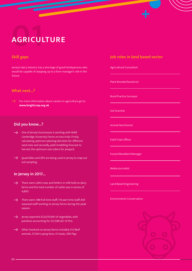# **AGRICUI AGRICULTURE**

## **Skill gaps**

Jersey's dairy industry has a shortage of good herdspersons who would be capable of stepping up to a farm manager's role in the future.

 $\overline{\phantom{0}}$ 

#### **What next...?**

For more information about careers in agriculture go to: **[www.brightcrop.org.uk](http://www.brightcrop.org.uk)**

### **Did you know...?**

- One of Jersey's businesses is working with NIAB Cambridge University Farms on two trials. Firstly, calculating optimum planting densities for different seed sizes and secondly, yield modelling forecast to harvest the optimum size tubers for prepack.
- Quad bikes and GPS are being used in Jersey to map out soil sampling.

### **In Jersey in 2017...**

- There were 2,843 cows and heifers in milk held on dairy farms and the total number of cattle was in excess of 4,800.
- There were: 488 Full time staff, 114 part time staff, 834 seasonal staff working on Jersey farms during the peak season.
- $\rightarrow$  Jersey exported £32,670,940 of vegetables, with potatoes accounting for £31,589,367 of this.
- Other livestock on Jersey farms included, 312 Beef  $\rightarrow$ animals, 27,044 Laying hens, 41 Goats, 390 Pigs.

### **Job roles in land based sector**

Agricultural Consultant

Plant Breeder/Geneticist

Rural Practice Surveyor

Soil Scientist

Animal Nutritionist

Field Trials Officer

Forest/Woodland Manager

Media Journalist

Land Based Engineering

Environments Conservation

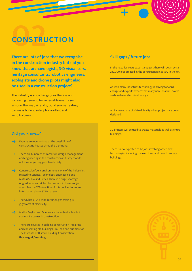# **02 CONSTRUCTION**

**There are lots of jobs that we recognise in the construction industry but did you know that archaeologists, 3-D visualisers, heritage consultants, robotics engineers, ecologists and drone pilots might also be used in a construction project?** 

The industry is also changing as there is an increasing demand for renewable energy such as solar thermal, air and ground source heating, bio-mass boilers, solar photovoltaic and wind turbines.

#### **Did you know...?**

- Experts are now looking at the possibility of constructing houses through 3D printing.
- $\rightarrow$ There are hundreds of careers in design, management and engineering in the construction industry that do not involve getting your hands dirty.
- Construction/built environment is one of the industries  $\rightarrow$ related to Science, Technology, Engineering and Maths (STEM) industries. There is a huge shortage of graduates and skilled technicians in these subject areas. See the STEM section of this booklet for more information about STEM careers.
- $\rightarrow$ The UK has 6, 546 wind turbines, generating 13 gigawatts of electricity.
- $\rightarrow$ Maths, English and Science are important subjects if you want a career in construction.
- There are courses in Building conservation (repairing  $\overline{\phantom{a}}$ and conserving old buildings.) You can find out more at The Institute of Historic Building Conservation **[ihbc.org.uk/learning/](http://ihbc.org.uk/learning/)**

### **Skill gaps / future jobs**

In the next five years experts suggest there will be an extra 232,000 jobs created in the construction industry in the UK.

As with many industries technology is driving forward change and experts expect that many new jobs will involve sustainable and efficient energy.

An increased use of Virtual Reality when projects are being designed.

3D printers will be used to create materials as well as entire buildings.

There is also expected to be jobs involving other new technologies including the use of aerial drones to survey buildings.

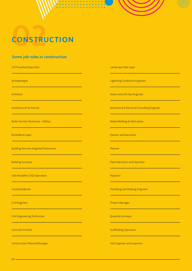

# **02 CONSTRUCTION**

# **Some job roles in construction**

3-D Visualiser/Specialist Landscape Slab Layer

Boiler Service Technician - Oil/Gas Metal Welding & Fabrication And Welding & Fabrication

Building Services Engineer/Technician Planner Planner Planner

CAD Modeller/ CAD Operative Plasterer Plasterer

Civil Engineering Technician Quantity Surveyor

Construction Planner/Manager Site Engineer and Inspector

Archaeologist Lightning Conductor Engineer

Architect **Mains and LPG Gas Engineer** Mains and LPG Gas Engineer

Architectural Technician Mechanical & Electrical Consulting Engineer

Brick/Block Layer Painter and Decorator

Building Surveyor **Plant Mechanic and Operator** Plant Mechanic and Operator

Carpenter/Joiner Plumbing and Heating Engineer

Civil Engineer Project Manager Project Manager

Concrete Finisher Scaffolding Operative Concrete Finisher Scaffolding Operative Scaffolding Operative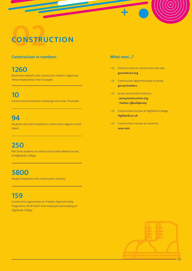# CONSTRU **CONSTRUCTION**

# **Construction in numbers**

# **1260**

Businesses related to the construction industry registered. These employed less than 10 people.

# **10**

Construction businesses employing more than 50 people.

# **94**

Students who had completed a construction degree on the Island.

# **250**

Part time students on construction trade related courses at Highlands College.

# **5800**

People employed in the construction industry.

# **159**

Construction apprentices on Trackers Apprenticeship Programme. All of which were employed and studying at Highlands College.

## **What next...?**

- $\rightarrow$ Find out more on construction job roles: **[goconstruct.org](http://www.goconstruct.org)**
- $\rightarrow$ Construction apprenticeships in Jersey: **[gov.je/trackers](https://www.gov.je/trackers)**
- $\rightarrow$ Jersey construction industry: **- [jerseyconstruction.org](https://jerseyconstruction.org/) - Twitter: [@buildjersey](https://twitter.com/buildjersey)**
- $\rightarrow$ Construction courses at Highlands College: **[highlands.ac.uk](https://www.highlands.ac.uk/)**
- $\rightarrow$ Construction courses at university: **[ucas.com](http://www.ucas.com)**

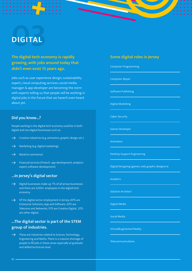# **DIGITAL DIGITAL**

# **The digital tech economy is rapidly growing, with jobs around today that didn't even exist 15 years ago.**

Jobs such as user experience design; sustainability expert; cloud computing services; social media manager & app developer are becoming the norm with experts telling us that people will be working in digital jobs in the future that we haven't even heard about yet.

#### **Did you know...?**

People working in the digital tech economy could be in both digital and non-digital businesses such as:

- $\rightarrow$ Creative industries (e.g. animation, graphic design, etc.)
- Marketing (e.g. digital marketing)  $\rightarrow$
- Retail (e-commerce)
- Financial services (Fintech- app development, analytics  $\rightarrow$ expert, software development)

### **...In Jersey's digital sector**

- Digital businesses make up 7% of all Jersey businesses  $\rightarrow$ and there are 3,000+ employees in the digital tech economy.
- $\rightarrow$  Of the digital sector employment in Jersey; 40% are Enterprise Solutions, App and Software, 20% are Telecoms and Networks, 15% are Creative Digital, 25% are other digital.

# **...The digital sector is part of the STEM group of industries.**

These are industries related to Science, Technology, Engineering and Maths. There is a massive shortage of people to fill jobs in these areas especially at graduate and skilled technician level.

## **Some digital roles in Jersey**

Computer Programming

Computer Repair

Software Publishing

Digital Marketing

Cyber Security

Games Developer

Animation

Desktop Support Engineering

Digital Designing (games, web, graphic designers)

Analytics

Solution Architect

Digital Media

Social Media

Virtual/Augmented Reality

Telecommunications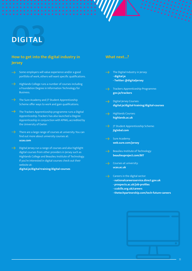# **03 DIGITAL**

# **How to get into the digital industry in Jersey**

- Some employers will value experience and/or a good portfolio of work, others will want specific qualifications.
- Highlands College runs a number of courses including a Foundation Degree in Information Technology for Business.
- $\rightarrow$  The Sure Academy and JT Student Apprenticeship Scheme offer ways to work and gain qualifications.
- $\rightarrow$  The Trackers Apprenticeship programme runs a Digital Apprenticeship. Trackers has also launched a Degree Apprenticeship in conjunction with KPMG, accredited by the University of Exeter.
- There are a large range of courses at university. You can find out more about university courses at: **ucas.com**
- Digital Jersey run a range of courses and also highlight digital courses from other providers in Jersey such as Highlands College and Beaulieu Institute of Technology. If you're interested in digital courses check out their website at:

**[digital.je/digital-training/digital-courses](http://digital.je/digital-training/digital-courses)**

#### **What next...?**

- The Digital Industry in Jersey: **- [digital.je](http://digital.je)**
	- **Twitter: [@digitaljersey](https://twitter.com/DigitalJersey)**
- Trackers Apprenticeship Programme: **[gov.je/trackers](http://gov.je/trackers)**
- Digital Jersey Courses: **[digital.je/digital-training/digital-courses](http://digital.je/digital-training/digital-courses)**
- Highlands Courses: **[highlands.ac.uk](https://www.highlands.ac.uk/)**
- JT Student Apprenticeship Scheme: **[jtglobal.com](http://jtglobal.com)**
- $\rightarrow$  Sure Academy: **[web.sure.com/jersey](http://web.sure.com/jersey)**
- Beaulieu Institute of Technology: **[beaulieuproject.com/BIT](http://beaulieuproject.com/BIT)**
- Courses at university: **[ucas.ac.uk](http://ucas.ac.uk)**
- $\rightarrow$  Careers in the digital sector:
	- **[nationalcareersservice.direct.gov.uk](https://nationalcareersservice.direct.gov.uk/)**
	- **[prospects.ac.uk/job-profiles](https://www.prospects.ac.uk/job-profiles/browse)**
	- **[ccskills.org.uk/careers](http://ccskills.org.uk/careers)**
	- **[thetechpartnership.com/tech-future-careers](http://thetechpartnership.com/tech-future-careers)**

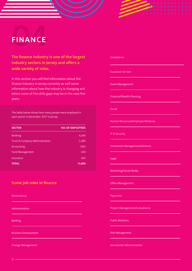

# **The finance industry is one of the largest industry sectors in Jersey and offers a wide variety of roles.**

In this section you will find information about the finance industry in Jersey currently as well some information about how the industry is changing and where some of the skills gaps may be in the next five years.

The table below shows how many people were employed in each sector in December 2017 in Jersey:

| <b>SECTOR</b>                  | <b>NO. OF EMPLOYEES</b> |
|--------------------------------|-------------------------|
| <b>Banking</b>                 | 4,240                   |
| Trust & Company Administration | 5,380                   |
| Accounting                     | 1,160                   |
| <b>Fund Management</b>         | 340                     |
| Insurance                      | 360                     |
| <b>TOTAL</b>                   | 11,480                  |

#### **Some job roles in finance**

Accountancy

Administration

**Banking** 

Business Development

Change Management

#### Compliance

Customer Service

Event Management

Financial/Wealth Planning

Funds

Human Resources/Employee Relations

IT & Security

Investment Management/Advisory

Legal

Marketing/Social Media

Office Management

Payments

Project Management/Consultancy

Public Relations

Risk Management

Secretarial/ Administration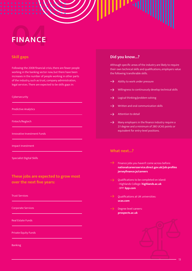# **FINANCE**

## **Skill gaps**

Following the 2008 financial crisis, there are fewer people working in the banking sector now, but there have been increases in the number of people working in other parts of the industry, such as trust, company administration, legal services. There are expected to be skills gaps in:

#### Cybersecurity

Predictive Analytics

Fintech/Regtech

Innovative Investment Funds

Impact Investment

Specialist Digital Skills

# **These jobs are expected to grow most over the next five years:**

Trust Services

Corporate Services

Real Estate Funds

Private Equity Funds

Banking

## **Did you know...?**

Although specific areas of the industry are likely to require their own technical skills and qualifications, employers value the following transferable skills.

- $\rightarrow$ Ability to work under pressure
- Willingness to continuously develop technical skills  $\rightarrow$
- Logical thinking/problem solving
- Written and oral communication skills
- Attention to detail
- Many employers in the finance industry require a  $\rightarrow$ 2:1 degree and a minimum of 280 UCAS points or equivalent for entry-level positions.

### **What next...?**

- $\rightarrow$ Finance jobs you haven't come across before: **[nationalcareersservice.direct.gov.uk/job-profiles](https://nationalcareers.service.gov.uk/) [jerseyfinance.je/careers](http://jerseyfinance.je/careers)**
- Qualifications to be completed on island: - Highlands College: **[highlands.ac.uk](https://www.highlands.ac.uk/)** - BPP: **[bpp.com](http://bpp.com)**
- Qualifications at UK universities: **[ucas.com](https://www.ucas.com/)**
- Degree level careers: **[prospects.ac.uk](https://www.prospects.ac.uk/)**

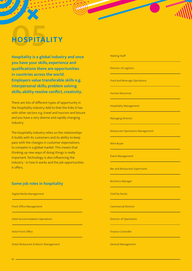# HOSPITAL **HOSPITALITY**

**Hospitality is a global industry and once you have your skills, experience and qualifications there are opportunities in countries across the world. Employers value transferable skills e.g. interpersonal skills; problem solving skills; ability resolve conflict, creativity.**

There are lots of different types of opportunity in the hospitality industry. Add to that the links it has with other sectors e.g. travel and tourism and leisure and you have a very diverse and rapidly changing industry.

The hospitality industry relies on the relationships it builds with its customers and its ability to keep pace with the changes in customer expectations to compete in a global market. This means that thinking up new ways of doing things is really important. Technology is also influencing the industry - in how it works and the job opportunities it offers.

### **Some job roles in hospitality**

Digital Media Management

Front Office Management

Hotel Accommodation Operations

Hotel Front Office

Hotel, Restaurant & Resort Management

#### Waiting Staff

Director of Logistics

Food and Beverage Operations

Human Resources

Hospitality Management

Managing Director

Restaurant Operations Management

Wine Buyer

Event Management

Bar and Restaurant Supervision

Butchery Manager

Chef De Partie

Commercial Director

Director of Operations

Finance Controller

General Management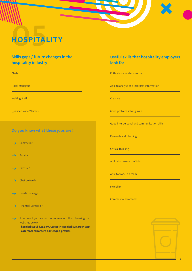# HOSPITAL **HOSPITALITY**

# **Skills gaps / future changes in the hospitality industry**

Chefs

Hotel Managers

Waiting Staff

Qualified Wine Waiters

## **Do you know what these jobs are?**

Sommelier  $\rightarrow$ 

Barista  $\rightarrow$ 

- Patissier  $\rightarrow$
- Chef de Partie  $\rightarrow$
- Head Concierge  $\rightharpoonup$
- Financial Controller  $\rightarrow$
- If not, see if you can find out more about them by using the  $\rightarrow$ websites below:
	- **hospitalityguild.co.uk/A-Career-in-Hospitality/Career-Map**
	- **caterer.com/careers-advice/job-profiles**

## **Useful skills that hospitality employers look for**

Enthusiastic and committed

Able to analyse and interpret information

#### **Creative**

Good problem solving skills

Good interpersonal and communication skills

Research and planning

Critical thinking

Ability to resolve conflicts

Able to work in a team

Flexibility

Commercial awareness

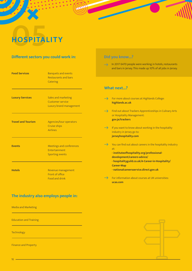# HOSPITAL **HOSPITALITY**

## **Different sectors you could work in:**

| <b>Food Services</b>      | <b>Banquets and events</b><br>Restaurants and bars<br>Catering             |
|---------------------------|----------------------------------------------------------------------------|
| <b>Luxury Services</b>    | Sales and marketing<br><b>Customer service</b><br>Luxury brand management  |
| <b>Travel and Tourism</b> | Agencies/tour operators<br><b>Cruise ships</b><br><b>Airlines</b>          |
| <b>Events</b>             | <b>Meetings and conferences</b><br>Entertainment<br><b>Sporting events</b> |
| <b>Hotels</b>             | Revenue management<br><b>Front of office</b><br><b>Food and drink</b>      |

# **The industry also employs people in:**

Media and Marketing

Education and Training

**Technology** 

Finance and Property

# **Did you know...?**

 $\rightarrow$  In 2017 6470 people were working in hotels, restaurants and bars in Jersey. This made up 10% of all jobs in Jersey.

## **What next...?**

- For more about courses at Highlands College: **[highlands.ac.uk](https://www.highlands.ac.uk/)**  $\rightarrow$  Find out about Trackers Apprenticeships in Culinary Arts or Hospitality Management: **[gov.je/trackers](http://gov.je/trackers)**  $\rightarrow$ If you want to know about working in the hospitality industry in Jersey go to: **[jerseyhospitality.com](https://www.jerseyhospitality.com/)**  $\rightarrow$  You can find out about careers in the hospitality industry at: **- [instituteofhospitality.org/professional](https://www.caterer.com/careers-advice/job-profiles)[development/careers-advice/](https://www.caterer.com/careers-advice/job-profiles)  - [hospitalityguild.co.uk/A-Career-in-Hospitality/](http://hospitalityguild.co.uk/A-Career-in-Hospitality/Career-Map) [Career-Map](http://hospitalityguild.co.uk/A-Career-in-Hospitality/Career-Map) - [nationalcareersservice.direct.gov.uk](https://nationalcareersservice.direct.gov.uk/)**  $\rightarrow$ For information about courses at UK universities:
	- **[ucas.com](https://www.ucas.com/)**

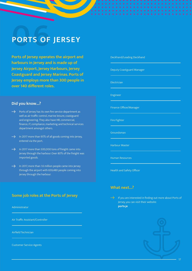# **PORTS OF PORTS OF JERSEY**

**Ports of Jersey operates the airport and harbours in Jersey and is made up of Jersey Airport, Jersey Harbours, Jersey Coastguard and Jersey Marinas. Ports of Jersey employs more than 300 people in over 140 different roles.**

#### **Did you know...?**

- Ports of Jersey has its own fire service department as  $\rightarrow$ well as air traffic control, marine leisure, coastguard and engineering. They also have HR, commercial, finance, IT, compliance, marketing and technical services department amongst others.
- $\rightarrow$ In 2017 more than 95% of all goods coming into Jersey, entered via the port.
- $\rightarrow$  In 2017 more than 500,000 tons of freight came into Jersey through the harbour. Over 80% of the freight was imported goods.
- $\rightarrow$  In 2017, more than 1.6 million people came into Jersey through the airport with 659,480 people coming into Jersey through the harbour.

### **Some job roles at the Ports of Jersey**

Administrator

Air Traffic Assistant/Controller

Airfield Technician

Customer Service Agents

#### Deckhand/Leading Deckhand

Deputy Coastguard Manager

Electrician

Engineer

Finance Officer/Manager

Fire Fighter

Groundsman

Harbour Master

Human Resources

Health and Safety Officer

#### **What next...?**

If you are interested in finding out more about Ports of Jersey, you can visit their website: **[ports.je](http://ports.je)**

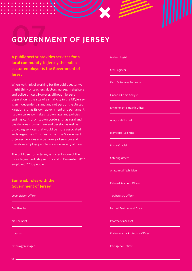# **GOVERNI GOVERNMENT OF JERSEY**

**A public sector provides services for a local community. In Jersey the public sector employer is the Government of Jersey.** 

When we think of working for the public sector we might think of teachers, doctors, nurses, firefighters and police officers. However, although Jersey's population is the size of a small city in the UK, Jersey is an independent island and not part of the United Kingdom: it has its own government and parliament, its own currency, makes its own laws and policies and has control of its own borders. It has rural and coastal areas to maintain and develop as well as providing services that would be more associated with large cities. This means that the Government of Jersey provides a wide variety of services and therefore employs people in a wide variety of roles.

The public sector in Jersey is currently one of the three largest industry sectors and in December 2017 employed 7,780 people.

## **Some job roles with the Government of Jersey**

Court Liaison Officer

Dog Handler

Art Therapist

Librarian

Pathology Manager

#### Meteorologist

Civil Engineer

Farm & Services Technician

Financial Crime Analyst

Environmental Health Officer

Analytical Chemist

Biomedical Scientist

Prison Chaplain

Catering Officer

Anatomical Technician

External Relations Officer

Tax/Registry Officer

Natural Environment Officer

Informatics Analyst

Environmental Protection Officer

Intelligence Officer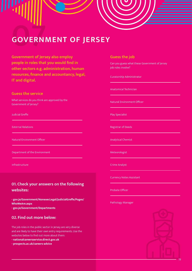# **07 GOVERNMENT OF JERSEY**

**Government of Jersey also employ people in roles that you would find in other sectors e.g. administration, human resources, finance and accountancy, legal, IT and digital.**

#### **Guess the service**

What services do you think are approved by the Government of Jersey?

Judicial Greffe

External Relations

Natural Environment Officer

Department of the Environment

Infrastructure

## **01. Check your answers on the following websites:**

**- [gov.je/Government/NonexecLegal/JudicialGreffe/Pages/](http://gov.je/Government/NonexecLegal/JudicialGreffe/Pages/WhoWeAre.aspx) [WhoWeAre.aspx](http://gov.je/Government/NonexecLegal/JudicialGreffe/Pages/WhoWeAre.aspx) - [gov.je/Government/Departments](https://www.gov.je/Government/Departments/Pages/default.aspx)**

#### **02. Find out more below:**

The job roles in the public sector in Jersey are very diverse and are likely to have their own entry requirements. Use the websites below to find out more about them:

**- [nationalcareersservice.direct.gov.uk](https://nationalcareersservice.direct.gov.uk/)**

**- [prospects.ac.uk/careers-advice](https://www.prospects.ac.uk/)**

#### **Guess the job**

Can you guess what these Government of Jersey job roles involve?

Curatorship Administrator

Anatomical Technician

Natural Environment Officer

Play Specialist

Registrar of Deeds

Analytical Chemist

Meteorologist

Crime Analyst

Currency Notes Assistant

Probate Officer

Pathology Manager

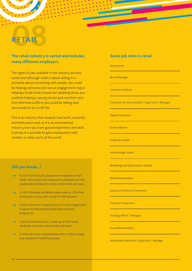# **08 RETAIL**

# **The retail industry is varied and includes many different employers.**

The types of jobs available in the industry are also varied and although retail is about selling, it is primarily about connecting with people. You could be helping someone pick out an engagement ring or helping a bride-to-be choose her wedding dress; you could be helping a young person pick out their very first interview outfit or you could be selling your own products at a craft fair.

This is an industry that rewards hard work, creativity and enthusiasm and, as it is an international industry, once you have gained experience and skills in Jersey it is possible to gain employment with retailers in other parts of the world.

## **Did you know...?**

- $\rightarrow$ In 2017 in Jersey 5,250 people were employed in retail trade, 1,560 people were employed in wholesale and 940 people were employed in motor vehicle trade and repair.
- In 2017 Wholesale and Retail trades made up 13% of the  $\rightarrow$ businesses in Jersey with a total of 1,040 business.
- $\rightarrow$  In 2017 there were 32 apprentices on Trackers Apprentice Programme following the Retail Apprenticeship Programme.
- $\rightarrow$  In Jersey the retail sector is made up of retail trade. wholesale and motor vehicle trade and repair.
- $\rightarrow$  In 2016, the sector employed more than 4 million people and contained 374,000 businesses.

## **Some job roles in retail**

#### Accountant

Brand Manager

Contents Producer

Customer Service Assistant / Supervisor / Manager

Digital Artworker

Events Planner

Financial Analyst

Home Design Stylist

Modelling and Optimisation Analyst

Retail Merchandiser

Solution Architect E-Commerce

Transport Supervisor

Training Officer / Manager

Visual Merchandiser

Warehouse Operative / Supervisor / Manager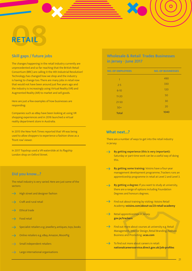# **08 RETAIL**

# **Skill gaps / future jobs**

The changes happening in the retail industry currently are unprecedented and so far reaching that the British Retail Consortium (BRC) are calling it the 4th Industrial Revolution! Technology has changed how we shop and the industry is having to change too. There are many jobs in retail now that would not have been around just five years ago and the industry is increasingly using Virtual Reality (VR) and Augmented Reality (AR) to market and sell goods.

Here are just a few examples of how businesses are responding:

1040 Companies such as eBay have been looking at using VR shopping experiences and in 2016 launched a virtual reality department store in Australia.

In 2015 the New York Times reported that VR was being used to allow shoppers to experience a fashion show as a 'front row' viewer.

In 2017 Topshop used a VR waterslide at its flagship London shop on Oxford Street.

### **Did you know...?**

The retail industry is very varied. Here are just some of the sectors:

- High street and designer fashion  $\rightarrow$
- Craft and rural retail  $\rightarrow$
- Ethical trade  $\rightarrow$
- Food retail  $\rightarrow$
- $\overline{\phantom{0}}$ Specialist retailers e.g. jewellery, antiques, toys, books
- Online retailers e.g. eBay, Amazon, MoonPig  $\rightarrow$
- $\rightarrow$ Small independent retailers
- Large international organisations  $\rightarrow$

## **Wholesale & Retail Trades Businesses in Jersey - June 2017**

| <b>NO. OF EMPLOYEES</b> | <b>NO. OF BUSINESSES</b> |
|-------------------------|--------------------------|
| 1                       | 490                      |
| $2 - 5$                 | 330                      |
| $6 - 10$                | 120                      |
| $11 - 20$               | 50                       |
| $21 - 50$               | 30                       |
| $50+$                   | 20                       |
| <b>Total</b>            | 1040                     |

#### **What next...?**

There are a number of ways to get into the retail industry in Jersey:

- **By getting experience (this is very important):**  $\rightarrow$ Saturday or part-time work can be a useful way of doing this.
- **By getting some training:** Voisins have a four-year  $\rightarrow$ management development programme, Trackers runs an apprenticeship programme in retail at Level 2 and Level 3.
- **By getting a degree:** If you want to study at university,  $\rightarrow$ there are a range of options including Foundation Degrees and honours degrees.
- $\rightarrow$ Find out about training by visiting: Voisins Retail Academy: **[voisins.com/about-us/23-retail-academy](http://voisins.com/about-us/23-retail-academy)**
- $\rightarrow$ Retail apprenticeships in Jersey: **[gov.je/trackers](http://gov.je/trackers)**
- $\rightarrow$ Find out more about courses at university e.g. Retail Management; Interior Design, Retail Branding; Fashion Business and Promoting: **[ucas.com](http://ucas.com)**
- $\rightarrow$ To find out more about careers in retail: **[nationalcareersservice.direct.gov.uk/job-profiles](http://nationalcareersservice.direct.gov.uk/job-profiles)**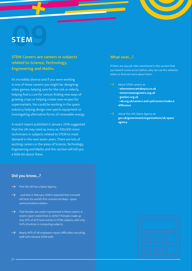# **09STEM**

## **STEM Careers are careers in subjects related to Science, Technology, Engineering and Maths.**

It's incredibly diverse and if you were working in one of these careers you might be: designing video games; helping care for the sick or elderly; helping find a cure for cancer; finding new ways of growing crops or helping create new recipes for supermarkets. You could be working in the space industry; helping design new sports equipment or investigating alternative forms of renewable energy.

A recent report published in January 2018 suggested that the UK may need as many as 700,000 more technicians in subjects related to STEM to meet demand in the next seven years. There are lots of exciting careers in the areas of Science, Technology, Engineering and Maths and this section will tell you a little bit about these.

### **What next...?**

If there are any job roles mentioned in this section that you haven't come across before, why not use the websites below to find out more about them:

- About STEM careers at:
	- **- [wherestemcantakeyou.co.uk](http://wherestemcantakeyou.co.uk)**
	- **- [tomorrowsengineers.org.uk](http://tomorrowsengineers.org.uk)**
	- **- [geolsoc.org.uk](https://www.geolsoc.org.uk/)**
	- **- [rsb.org.uk/careers-and-cpd/careers/make-a](https://www.rsb.org.uk/careers-and-cpd/careers/make-a-difference)[difference](https://www.rsb.org.uk/careers-and-cpd/careers/make-a-difference)**
- About the UK's Space Agency at: **[gov.uk/government/organisations/uk-space](http://gov.uk/government/organisations/uk-space-agency)[agency](http://gov.uk/government/organisations/uk-space-agency)**

#### **Did you know...?**

- That the UK has a Space Agency...
- $\rightarrow$ ...and that in February 2018 it reported that Cornwall will host the world's first commercial deep—space communications station.
- $\rightarrow$  That females are under-represented in these careers. A recent report stated that in 2016/17 females made up only 42% of all 'A' level entries in STEM subjects, with only 9.4% of entries in computing subjects.
- $\rightarrow$  Nearly 40% of UK employers report difficulties recruiting staff with relevant STEM skills.

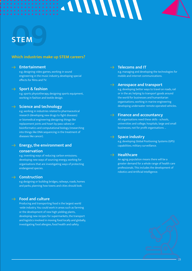# **09STEM**

### **Which industries make up STEM careers?**

#### **Entertainment**  $\overline{\phantom{a}}$

e.g. designing video games, working in sound engineering in the music industry, developing special effects for films and TV.

#### $\rightarrow$  Sport & fashion

e.g. sports physiotherapy, designing sports equipment, working in fashion and textile design.

#### $\rightarrow$  Science and technology

e.g. working in industries related to pharmaceutical research (developing new drugs to fight diseases) or biomedical engineering (designing things like replacement joints and heart by-pass valves) or bioinformatics and computational biology (researching into things like DNA sequencing in the treatment of diseases like cancer).

# **Energy, the environment and**

#### **conservation**

e.g. inventing ways of reducing carbon emissions; developing new ways of sourcing energy; working for organisations that are investigating ways of protecting endangered species.

#### $\rightarrow$  Construction

e.g designing or building bridges, railways, roads, homes and parks; planning how towns and cities should look.

#### **Food and culture**

Producing and transporting food is the largest world -wide industry. You could work in areas such as farming or the development of new high yielding plants, developing new recipes for supermarkets, the transport and logistics involved in moving food locally and globally, investigating food allergies, food health and safety.

**Telecoms and IT**

**ANIVINA** 

e.g. managing and developing the technologies for mobile and internet communications.

#### **Aerospace and transport**

e.g. developing better ways to travel on roads, rail or in the air; helping to transport goods around the world for businesses and humanitarian organisations; working in marine engineering developing underwater remote operated vehicles.

#### **Finance and accountancy**

All organisations need these skills - schools, universities and college; hospitals; large and small businesses; not for profit organisations …

#### **Space industry**

e.g. developing Global Positioning Systems (GPS) capabilities; military surveillance.

#### **Healthcare**

An aging population means there will be a greater demand for a whole range of health care professionals. This includes the development of robotics and Artificial Intelligence.

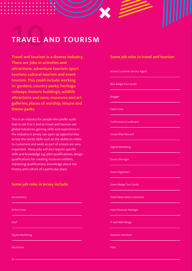# **100 COVEL TRAVEL AND TOURISM**

**Travel and tourism is a diverse industry. There are jobs in activities and attractions; adventure tourism; sport tourism; cultural tourism and event tourism. This could include working in: gardens; country parks; heritage railways; historic buildings; wildlife attractions and zoos; museums and art galleries; places of worship; leisure and theme parks.**

This is an industry for people who prefer a job that is not 9 to 5 and as travel and tourism are global industries, gaining skills and experience in the industry in Jersey can open up opportunities across the world. Skills such as the ability to relate to customers and work as part of a team are very important. Many jobs will also require specific skills and knowledge e.g. pilot qualifications, design qualifications for creating museum exhibits, marketing qualifications, knowledge about the history and culture of a particular place.

### **Some job roles in Jersey include:**

Accountancy Airline Crew Chef Digital Marketing

Electrician

### **Some job roles in travel and tourism**

Airline Customer Service Agent

Blue Badge Tour Guide

Blogger

Cabin Crew

Conference Co-ordinator

Cruise Ship Steward

Digital Marketing

Events Manager

Event Organisers

Green Badge Tour Guide

Hotel Reservations Assistant

Hotel Revenue Manager

IT and Web Design

Museum Assistant

Pilot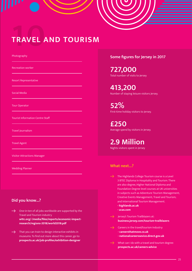# **100 AVEL TRAVEL AND TOURISM**

Photography

Recreation worker

Resort Representative

Social Media

Tour Operator

Tourist Information Centre Staff

Travel Journalism

Travel Agent

Visitor Attractions Manager

## **Did you know...?**

One-in-ten of all jobs worldwide are supported by the  $\rightarrow$ Travel and Tourism industry **[wttc.org/-/media/files/reports/economic-impact](http://www.wttc.org/-/media/files/reports/economic-impact-research/regions-2018/world2018.pdf)[research/regions-2018/world2018.pdf](http://www.wttc.org/-/media/files/reports/economic-impact-research/regions-2018/world2018.pdf)**

That you can train to design interactive exhibits in  $\rightarrow$ museums. To find out more about this career, go to: **[prospects.ac.uk/job-profiles/exhibition-designer](https://www.prospects.ac.uk/job-profiles/exhibition-designer)**

#### **Some figures for Jersey in 2017**

**727,000** Total number of visits to Jersey

**413,200** Number of staying leisure visitors Jersey.

**52%** First-time holiday visitors to Jersey.

**£250** Average spend by visitors in Jersey.

**2.9 Million** Nights visitors spent in Jersey

# Wedding Planner **What next...?**

- The Highlands College Tourism course is a Level 3 BTEC Diploma in Hospitality and Tourism. There are also degree, Higher National Diploma and Foundation Degree level courses at UK universities in subjects such as Adventure Tourism Management; Creative Events Management; Travel and Tourism; and International Tourism Management.
	- **[highlands.ac.uk](https://www.highlands.ac.uk/)**
	- **[ucas.com](http://ucas.com)**
- Jersey's Tourism Trailblazers at: **[business.jersey.com/tourism-trailblazers](https://business.jersey.com/tourism-trailblazers)**
- Careers in the travel/tourism Industry:
	- **- [careersthatmove.co.uk](http://careersthatmove.co.uk/)**
	- **- [nationalcareerssevice.direct.gov.uk](https://nationalcareersservice.direct.gov.uk/)**
- What can I do with a travel and tourism degree: **[prospects.ac.uk/careers-advice](https://www.prospects.ac.uk/careers-advice)**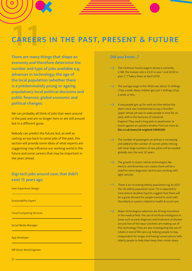# **CAREER CAREERS IN THE PAST, PRESENT & FUTURE**

**There are many things that shape an economy and therefore determine the number and type of jobs available e.g. advances in technology; the age of the local population (whether there is a predominately young or ageing population); local political decisions and public finances; global economic and political changes.**

We can probably all think of jobs that were around in the past and are no longer here or are still around but in a different guise.

Nobody can predict the future, but, as well as casting an eye back to some jobs of the past, this section will provide some ideas of what experts are suggesting may influence our working world in the future and some careers that may be important in the years ahead.

## **Digi tech jobs around now, that didn't exist 15 years ago**

User Experience Design

Sustainability Expert

Cloud Computing Services

Social Media Manager

App Developer

Off-Shore Wind Engineer

#### **Did you know...?**

- $\rightarrow$  The minimum hourly wage in Jersey is currently £7.88. The trainee rate is £5.91 in year 1 and £6.90 in year 2.\* (\*Salary Rates at April 2019)
- The average wage in the 1850s was about 15 shillings (75p) a week. Many children got just 5 shillings (25p) a week, or less.
- $\rightarrow$ A way people got up for work on time before the alarm clock was invented was to pay a 'knockerupper' whose job was to wake people in time for an early shift in the factories of industrial England. They used a long pole or peashooter to knock against an upstairs window. Find out more at: **[bbc.co.uk/news/uk-england-35840393](http://bbc.co.uk/news/uk-england-35840393)**
- The number of passengers on airlines is increasing  $\rightarrow$ and added to the number of current pilots retiring will mean large numbers of new pilots will be needed globally over the next 20 years.
- The growth in motor vehicle technologies like  $\rightarrow$ electric and driverless cars means there will be a need for more diagnostic technicians working with light vehicles.
- $\rightarrow$ There is an increasing elderly population e.g. by 2037 the UK elderly population (over 75) is expected to have almost doubled. Experts suggest that there will be a great demand for people trained to work with the elderly in careers related to health & social care.
- $\rightarrow$ Major technological advances are driving innovation in the medical field. The use of Artificial Intelligence in areas such as early diagnosis and treatment of disease are just two of the ways scientists are making use of this technology. They are also investigating the use of robots in end of life care, e.g. helping people to stay independent for longer and having 'conversations' with elderly people to help them keep their minds sharp.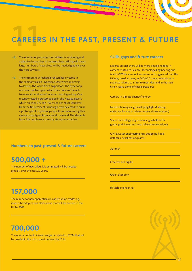# **CAREER CAREERS IN THE PAST, PRESENT & FUTURE**

- The number of passengers on airlines is increasing and added to the number of current pilots retiring will mean large numbers of new pilots will be needed globally over the next 20 years.
- $\rightarrow$ The entrepreneur Richard Branson has invested in the company called 'Hyperloop One' which is aiming to develop the world's first 'hyperloop'. The hyperloop is a means of transport which they hope will be able to move at hundreds of miles an hour. Hyperloop One recently tested a prototype pod in the Nevada desert which reached 310 kph (192 miles per hour). Students from the University of Edinburgh were selected to build a prototype of a hyperloop capsule and were racing this against prototypes from around the world. The students from Edinburgh were the only UK representatives.

#### **Numbers on past, present & future careers**

# **500,000 +**

The number of new pilots it is estimated will be needed globally over the next 20 years.

# **157,000**

The number of new apprentices in construction trades e.g. joiners, bricklayers and electricians that will be needed in the UK by 2021.

# **700,000**

The number of technician in subjects related to STEM that will be needed in the UK to meet demand by 2024.

#### **Skills gaps and future careers**

Experts predict there will be more people needed in careers related to Science, Technology, Engineering and Maths (STEM careers). A recent report suggested that the UK may need as many as 700,000 more technicians in subjects related to STEM to meet demand in the next 6 to 7 years. Some of these areas are:

Careers in climate change/ energy

Nanotechnology (e.g. developing light & strong materials for use in telecommunications, aviation)

Space technology (e.g. developing satellites for global positioning systems, telecommunications)

Civil & water engineering (e.g. designing flood defences, desalination, plants.

Agritech

Creative and digital

Green economy

Hi-tech engineering

27